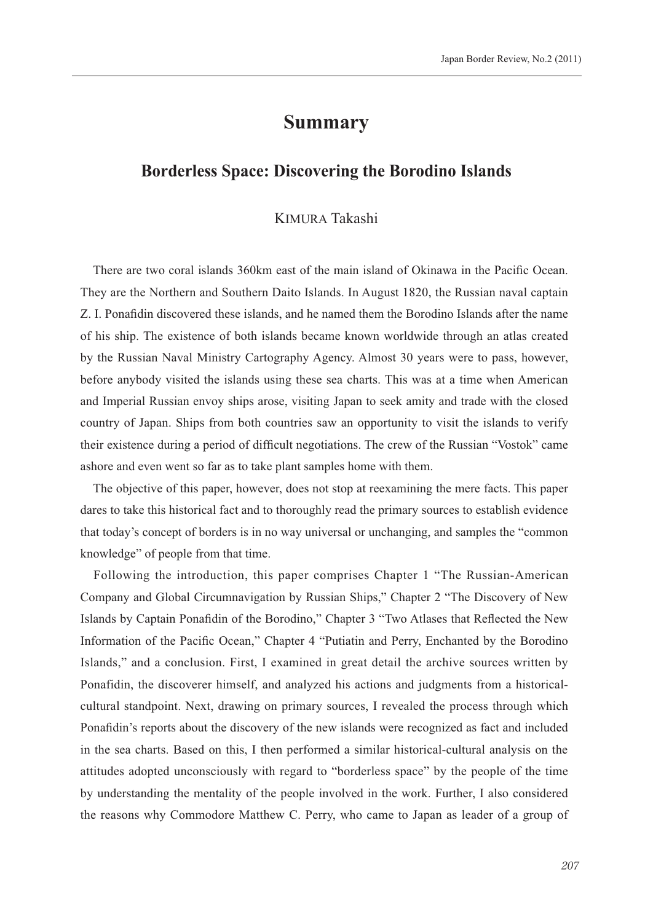# **Summary**

## **Borderless Space: Discovering the Borodino Islands**

#### KIMURA Takashi

There are two coral islands 360km east of the main island of Okinawa in the Pacific Ocean. They are the Northern and Southern Daito Islands. In August 1820, the Russian naval captain Z. I. Ponafidin discovered these islands, and he named them the Borodino Islands after the name of his ship. The existence of both islands became known worldwide through an atlas created by the Russian Naval Ministry Cartography Agency. Almost 30 years were to pass, however, before anybody visited the islands using these sea charts. This was at a time when American and Imperial Russian envoy ships arose, visiting Japan to seek amity and trade with the closed country of Japan. Ships from both countries saw an opportunity to visit the islands to verify their existence during a period of difficult negotiations. The crew of the Russian "Vostok" came ashore and even went so far as to take plant samples home with them.

The objective of this paper, however, does not stop at reexamining the mere facts. This paper dares to take this historical fact and to thoroughly read the primary sources to establish evidence that today's concept of borders is in no way universal or unchanging, and samples the "common knowledge" of people from that time.

Following the introduction, this paper comprises Chapter 1 "The Russian-American Company and Global Circumnavigation by Russian Ships," Chapter 2 "The Discovery of New Islands by Captain Ponafidin of the Borodino," Chapter 3 "Two Atlases that Reflected the New Information of the Pacific Ocean," Chapter 4 "Putiatin and Perry, Enchanted by the Borodino Islands," and a conclusion. First, I examined in great detail the archive sources written by Ponafidin, the discoverer himself, and analyzed his actions and judgments from a historicalcultural standpoint. Next, drawing on primary sources, I revealed the process through which Ponafidin's reports about the discovery of the new islands were recognized as fact and included in the sea charts. Based on this, I then performed a similar historical-cultural analysis on the attitudes adopted unconsciously with regard to "borderless space" by the people of the time by understanding the mentality of the people involved in the work. Further, I also considered the reasons why Commodore Matthew C. Perry, who came to Japan as leader of a group of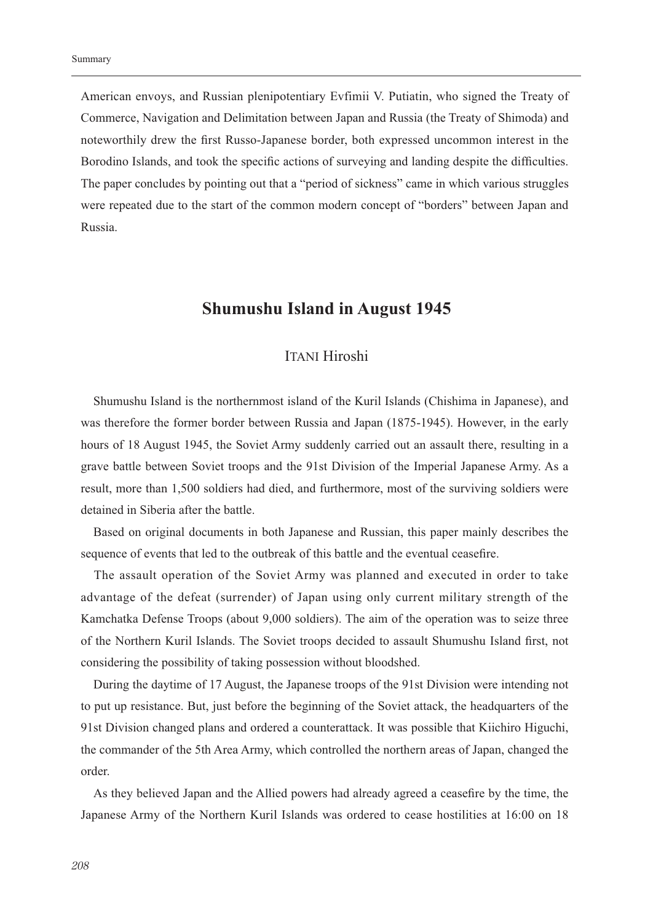American envoys, and Russian plenipotentiary Evfimii V. Putiatin, who signed the Treaty of Commerce, Navigation and Delimitation between Japan and Russia (the Treaty of Shimoda) and noteworthily drew the first Russo-Japanese border, both expressed uncommon interest in the Borodino Islands, and took the specific actions of surveying and landing despite the difficulties. The paper concludes by pointing out that a "period of sickness" came in which various struggles were repeated due to the start of the common modern concept of "borders" between Japan and Russia.

## **Shumushu Island in August 1945**

### **ITANI Hiroshi**

Shumushu Island is the northernmost island of the Kuril Islands (Chishima in Japanese), and was therefore the former border between Russia and Japan (1875-1945). However, in the early hours of 18 August 1945, the Soviet Army suddenly carried out an assault there, resulting in a grave battle between Soviet troops and the 91st Division of the Imperial Japanese Army. As a result, more than 1,500 soldiers had died, and furthermore, most of the surviving soldiers were detained in Siberia after the battle.

Based on original documents in both Japanese and Russian, this paper mainly describes the sequence of events that led to the outbreak of this battle and the eventual ceasefire.

The assault operation of the Soviet Army was planned and executed in order to take advantage of the defeat (surrender) of Japan using only current military strength of the Kamchatka Defense Troops (about 9,000 soldiers). The aim of the operation was to seize three of the Northern Kuril Islands. The Soviet troops decided to assault Shumushu Island first, not considering the possibility of taking possession without bloodshed.

During the daytime of 17 August, the Japanese troops of the 91st Division were intending not to put up resistance. But, just before the beginning of the Soviet attack, the headquarters of the 91st Division changed plans and ordered a counterattack. It was possible that Kiichiro Higuchi, the commander of the 5th Area Army, which controlled the northern areas of Japan, changed the order.

As they believed Japan and the Allied powers had already agreed a ceasefire by the time, the Japanese Army of the Northern Kuril Islands was ordered to cease hostilities at 16:00 on 18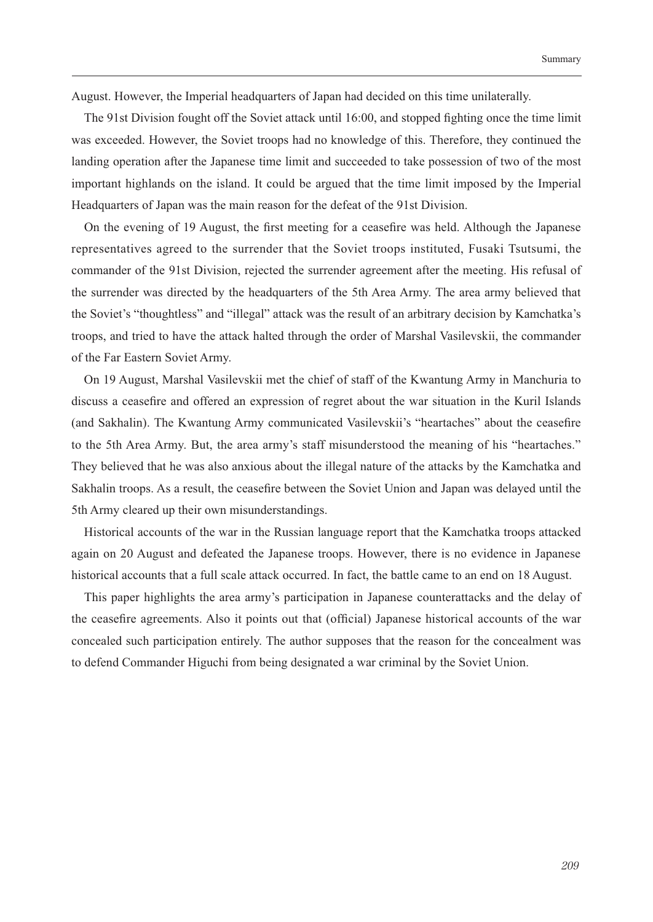August. However, the Imperial headquarters of Japan had decided on this time unilaterally.

The 91st Division fought off the Soviet attack until 16:00, and stopped fighting once the time limit was exceeded. However, the Soviet troops had no knowledge of this. Therefore, they continued the landing operation after the Japanese time limit and succeeded to take possession of two of the most important highlands on the island. It could be argued that the time limit imposed by the Imperial Headquarters of Japan was the main reason for the defeat of the 91st Division.

On the evening of 19 August, the first meeting for a ceasefire was held. Although the Japanese representatives agreed to the surrender that the Soviet troops instituted, Fusaki Tsutsumi, the commander of the 91st Division, rejected the surrender agreement after the meeting. His refusal of the surrender was directed by the headquarters of the 5th Area Army. The area army believed that the Soviet's "thoughtless" and "illegal" attack was the result of an arbitrary decision by Kamchatka's troops, and tried to have the attack halted through the order of Marshal Vasilevskii, the commander of the Far Eastern Soviet Army.

On 19 August, Marshal Vasilevskii met the chief of staff of the Kwantung Army in Manchuria to discuss a ceasefire and offered an expression of regret about the war situation in the Kuril Islands (and Sakhalin). The Kwantung Army communicated Vasilevskii's "heartaches" about the ceasefire to the 5th Area Army. But, the area army's staff misunderstood the meaning of his "heartaches." They believed that he was also anxious about the illegal nature of the attacks by the Kamchatka and Sakhalin troops. As a result, the ceasefire between the Soviet Union and Japan was delayed until the 5th Army cleared up their own misunderstandings.

Historical accounts of the war in the Russian language report that the Kamchatka troops attacked again on 20 August and defeated the Japanese troops. However, there is no evidence in Japanese historical accounts that a full scale attack occurred. In fact, the battle came to an end on 18 August.

This paper highlights the area army's participation in Japanese counterattacks and the delay of the ceasefire agreements. Also it points out that (official) Japanese historical accounts of the war concealed such participation entirely. The author supposes that the reason for the concealment was to defend Commander Higuchi from being designated a war criminal by the Soviet Union.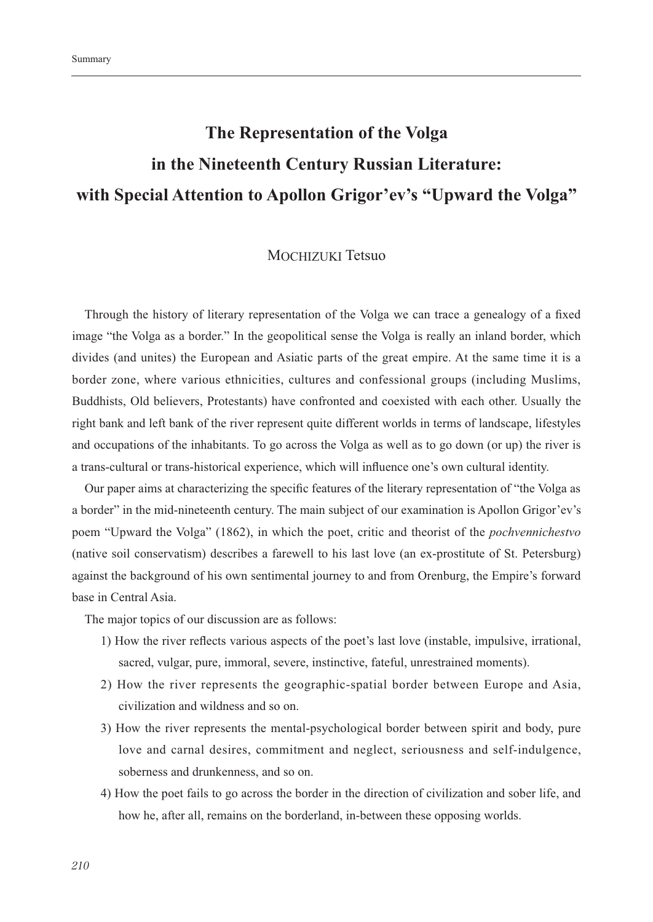# The Representation of the Volga in the Nineteenth Century Russian Literature: with Special Attention to Apollon Grigor'ev's "Upward the Volga"

#### **MOCHIZUKI Tetsuo**

Through the history of literary representation of the Volga we can trace a genealogy of a fixed image "the Volga as a border." In the geopolitical sense the Volga is really an inland border, which divides (and unites) the European and Asiatic parts of the great empire. At the same time it is a border zone, where various ethnicities, cultures and confessional groups (including Muslims, Buddhists, Old believers, Protestants) have confronted and coexisted with each other. Usually the right bank and left bank of the river represent quite different worlds in terms of landscape, lifestyles and occupations of the inhabitants. To go across the Volga as well as to go down (or up) the river is a trans-cultural or trans-historical experience, which will influence one's own cultural identity.

Our paper aims at characterizing the specific features of the literary representation of "the Volga as a border" in the mid-nineteenth century. The main subject of our examination is Apollon Grigor'ev's poem "Upward the Volga" (1862), in which the poet, critic and theorist of the *pochvennichestvo* (native soil conservatism) describes a farewell to his last love (an ex-prostitute of St. Petersburg) against the background of his own sentimental journey to and from Orenburg, the Empire's forward base in Central Asia.

The major topics of our discussion are as follows:

- 1) How the river reflects various aspects of the poet's last love (instable, impulsive, irrational, sacred, vulgar, pure, immoral, severe, instinctive, fateful, unrestrained moments).
- 2) How the river represents the geographic-spatial border between Europe and Asia, civilization and wildness and so on.
- 3) How the river represents the mental-psychological border between spirit and body, pure love and carnal desires, commitment and neglect, seriousness and self-indulgence, soberness and drunkenness, and so on.
- 4) How the poet fails to go across the border in the direction of civilization and sober life, and how he, after all, remains on the borderland, in-between these opposing worlds.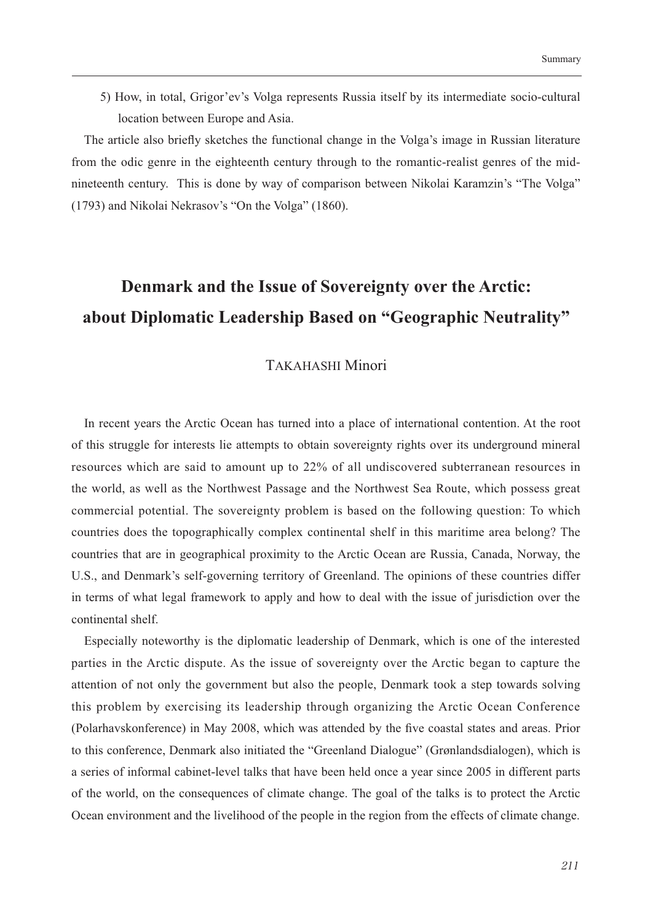5) How, in total, Grigor'ev's Volga represents Russia itself by its intermediate socio-cultural location between Europe and Asia.

The article also briefly sketches the functional change in the Volga's image in Russian literature from the odic genre in the eighteenth century through to the romantic-realist genres of the midnineteenth century. This is done by way of comparison between Nikolai Karamzin's "The Volga" (1793) and Nikolai Nekrasov's "On the Volga" (1860).

# Denmark and the Issue of Sovereignty over the Arctic: about Diplomatic Leadership Based on "Geographic Neutrality"

### **TAKAHASHI Minori**

In recent years the Arctic Ocean has turned into a place of international contention. At the root of this struggle for interests lie attempts to obtain sovereignty rights over its underground mineral resources which are said to amount up to 22% of all undiscovered subterranean resources in the world, as well as the Northwest Passage and the Northwest Sea Route, which possess great commercial potential. The sovereignty problem is based on the following question: To which countries does the topographically complex continental shelf in this maritime area belong? The countries that are in geographical proximity to the Arctic Ocean are Russia, Canada, Norway, the U.S., and Denmark's self-governing territory of Greenland. The opinions of these countries differ in terms of what legal framework to apply and how to deal with the issue of jurisdiction over the continental shelf

Especially noteworthy is the diplomatic leadership of Denmark, which is one of the interested parties in the Arctic dispute. As the issue of sovereignty over the Arctic began to capture the attention of not only the government but also the people, Denmark took a step towards solving this problem by exercising its leadership through organizing the Arctic Ocean Conference (Polarhavskonference) in May 2008, which was attended by the five coastal states and areas. Prior to this conference, Denmark also initiated the "Greenland Dialogue" (Grønlandsdialogen), which is a series of informal cabinet-level talks that have been held once a year since 2005 in different parts of the world, on the consequences of climate change. The goal of the talks is to protect the Arctic Ocean environment and the livelihood of the people in the region from the effects of climate change.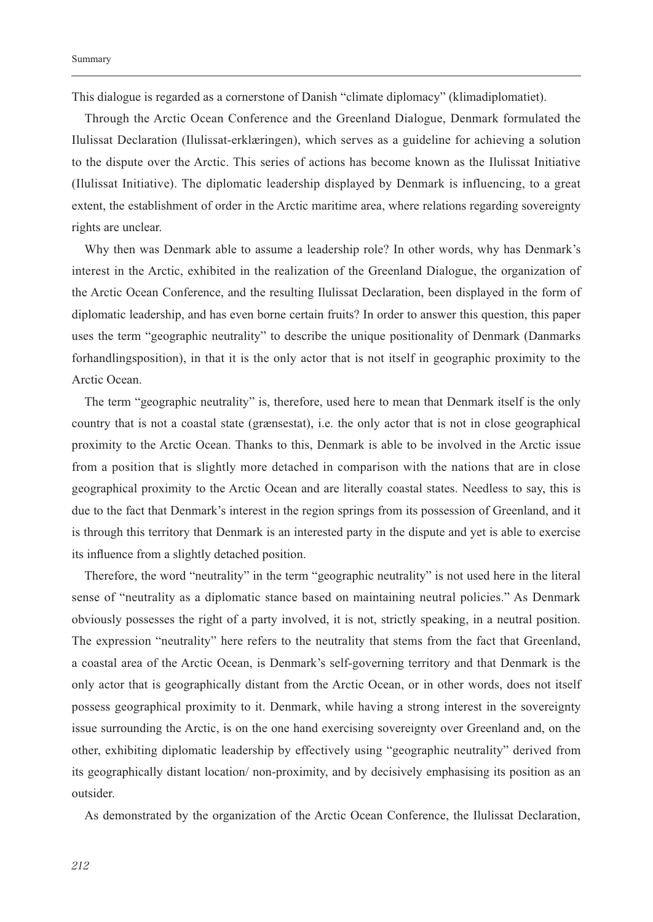This dialogue is regarded as a cornerstone of Danish "climate diplomacy" (klimadiplomatiet).

Through the Arctic Ocean Conference and the Greenland Dialogue, Denmark formulated the Ilulissat Declaration (Ilulissat-erklæringen), which serves as a guideline for achieving a solution to the dispute over the Arctic. This series of actions has become known as the Ilulissat Initiative (Ilulissat Initiative). The diplomatic leadership displayed by Denmark is influencing, to a great extent, the establishment of order in the Arctic maritime area, where relations regarding sovereignty rights are unclear.

Why then was Denmark able to assume a leadership role? In other words, why has Denmark's interest in the Arctic, exhibited in the realization of the Greenland Dialogue, the organization of the Arctic Ocean Conference, and the resulting Ilulissat Declaration, been displayed in the form of diplomatic leadership, and has even borne certain fruits? In order to answer this question, this paper uses the term "geographic neutrality" to describe the unique positionality of Denmark (Danmarks forhandlingsposition), in that it is the only actor that is not itself in geographic proximity to the Arctic Ocean.

The term "geographic neutrality" is, therefore, used here to mean that Denmark itself is the only country that is not a coastal state (grænsestat), i.e. the only actor that is not in close geographical proximity to the Arctic Ocean. Thanks to this, Denmark is able to be involved in the Arctic issue from a position that is slightly more detached in comparison with the nations that are in close geographical proximity to the Arctic Ocean and are literally coastal states. Needless to say, this is due to the fact that Denmark's interest in the region springs from its possession of Greenland, and it is through this territory that Denmark is an interested party in the dispute and yet is able to exercise its influence from a slightly detached position.

Therefore, the word "neutrality" in the term "geographic neutrality" is not used here in the literal sense of "neutrality as a diplomatic stance based on maintaining neutral policies." As Denmark obviously possesses the right of a party involved, it is not, strictly speaking, in a neutral position. The expression "neutrality" here refers to the neutrality that stems from the fact that Greenland, a coastal area of the Arctic Ocean, is Denmark's self-governing territory and that Denmark is the only actor that is geographically distant from the Arctic Ocean, or in other words, does not itself possess geographical proximity to it. Denmark, while having a strong interest in the sovereignty issue surrounding the Arctic, is on the one hand exercising sovereignty over Greenland and, on the other, exhibiting diplomatic leadership by effectively using "geographic neutrality" derived from its geographically distant location/ non-proximity, and by decisively emphasising its position as an outsider.

As demonstrated by the organization of the Arctic Ocean Conference, the Ilulissat Declaration,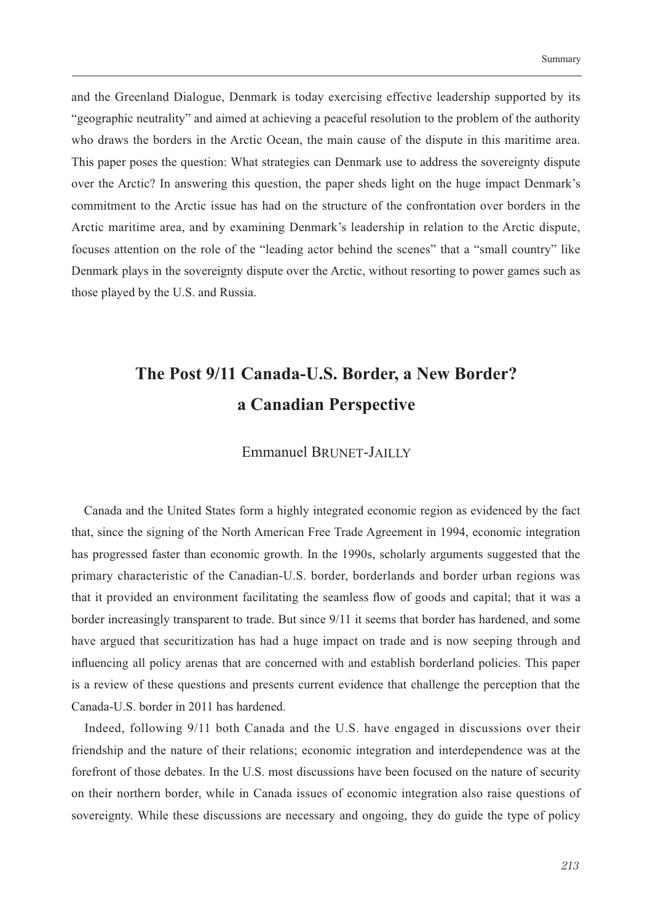and the Greenland Dialogue, Denmark is today exercising effective leadership supported by its "geographic neutrality" and aimed at achieving a peaceful resolution to the problem of the authority who draws the borders in the Arctic Ocean, the main cause of the dispute in this maritime area. This paper poses the question: What strategies can Denmark use to address the sovereignty dispute over the Arctic? In answering this question, the paper sheds light on the huge impact Denmark's commitment to the Arctic issue has had on the structure of the confrontation over borders in the Arctic maritime area, and by examining Denmark's leadership in relation to the Arctic dispute, focuses attention on the role of the "leading actor behind the scenes" that a "small country" like Denmark plays in the sovereignty dispute over the Arctic, without resorting to power games such as those played by the U.S. and Russia.

# The Post 9/11 Canada-U.S. Border, a New Border? a Canadian Perspective

### **Emmanuel BRUNET-JAILLY**

Canada and the United States form a highly integrated economic region as evidenced by the fact that, since the signing of the North American Free Trade Agreement in 1994, economic integration has progressed faster than economic growth. In the 1990s, scholarly arguments suggested that the primary characteristic of the Canadian-U.S. border, borderlands and border urban regions was that it provided an environment facilitating the seamless flow of goods and capital; that it was a border increasingly transparent to trade. But since 9/11 it seems that border has hardened, and some have argued that securitization has had a huge impact on trade and is now seeping through and influencing all policy arenas that are concerned with and establish borderland policies. This paper is a review of these questions and presents current evidence that challenge the perception that the Canada-U.S. border in 2011 has hardened.

Indeed, following 9/11 both Canada and the U.S. have engaged in discussions over their friendship and the nature of their relations; economic integration and interdependence was at the forefront of those debates. In the U.S. most discussions have been focused on the nature of security on their northern border, while in Canada issues of economic integration also raise questions of sovereignty. While these discussions are necessary and ongoing, they do guide the type of policy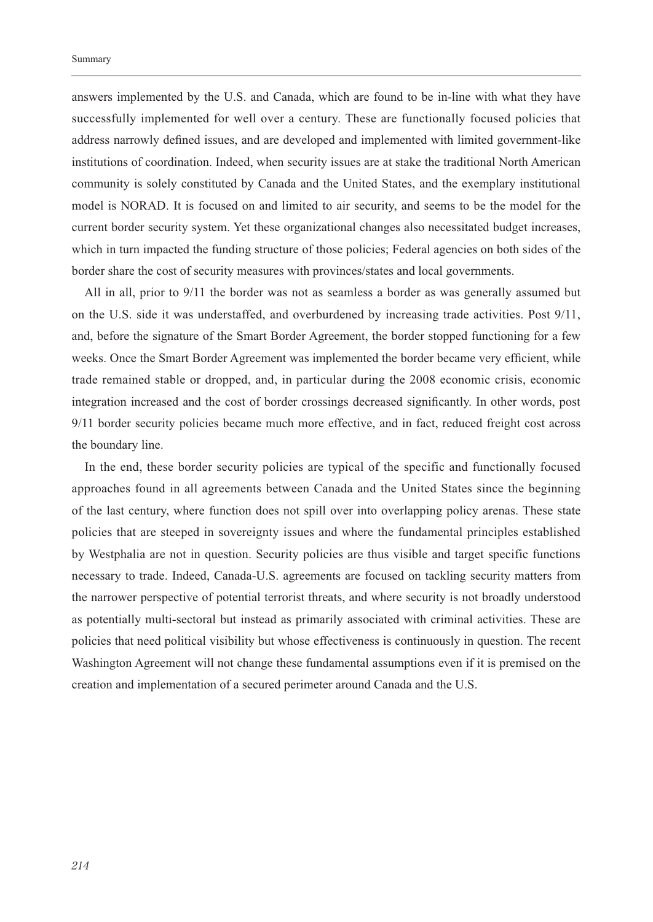answers implemented by the U.S. and Canada, which are found to be in-line with what they have successfully implemented for well over a century. These are functionally focused policies that address narrowly defined issues, and are developed and implemented with limited government-like institutions of coordination. Indeed, when security issues are at stake the traditional North American community is solely constituted by Canada and the United States, and the exemplary institutional model is NORAD. It is focused on and limited to air security, and seems to be the model for the current border security system. Yet these organizational changes also necessitated budget increases, which in turn impacted the funding structure of those policies; Federal agencies on both sides of the border share the cost of security measures with provinces/states and local governments.

All in all, prior to 9/11 the border was not as seamless a border as was generally assumed but on the U.S. side it was understaffed, and overburdened by increasing trade activities. Post 9/11, and, before the signature of the Smart Border Agreement, the border stopped functioning for a few weeks. Once the Smart Border Agreement was implemented the border became very efficient, while trade remained stable or dropped, and, in particular during the 2008 economic crisis, economic integration increased and the cost of border crossings decreased significantly. In other words, post 9/11 border security policies became much more effective, and in fact, reduced freight cost across the boundary line.

In the end, these border security policies are typical of the specific and functionally focused approaches found in all agreements between Canada and the United States since the beginning of the last century, where function does not spill over into overlapping policy arenas. These state policies that are steeped in sovereignty issues and where the fundamental principles established by Westphalia are not in question. Security policies are thus visible and target specific functions necessary to trade. Indeed, Canada-U.S. agreements are focused on tackling security matters from the narrower perspective of potential terrorist threats, and where security is not broadly understood as potentially multi-sectoral but instead as primarily associated with criminal activities. These are policies that need political visibility but whose effectiveness is continuously in question. The recent Washington Agreement will not change these fundamental assumptions even if it is premised on the creation and implementation of a secured perimeter around Canada and the U.S.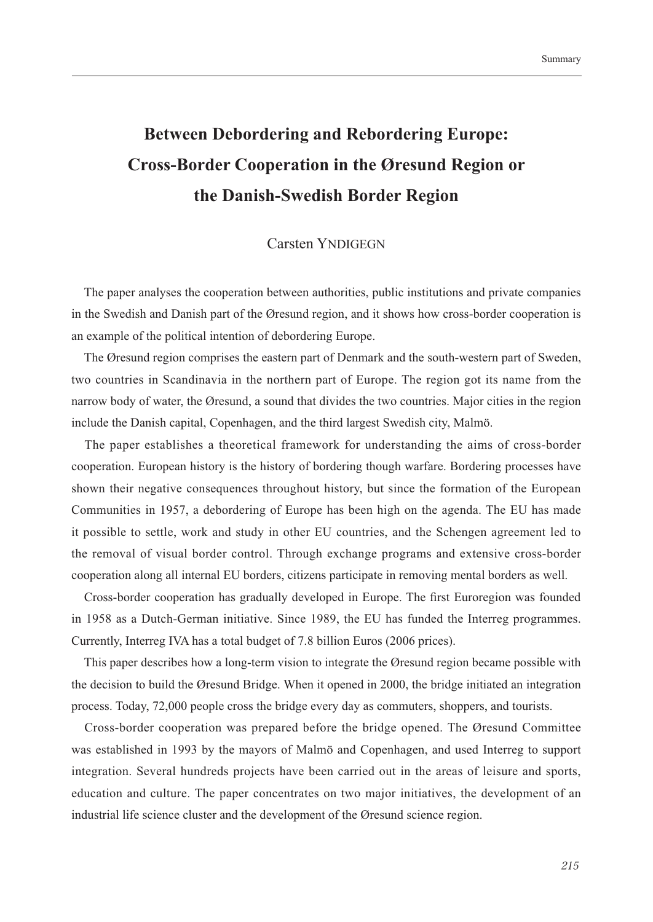# **Between Debordering and Rebordering Europe: Cross-Border Cooperation in the Øresund Region or** the Danish-Swedish Border Region

### **Carsten YNDIGEGN**

The paper analyses the cooperation between authorities, public institutions and private companies in the Swedish and Danish part of the Øresund region, and it shows how cross-border cooperation is an example of the political intention of debordering Europe.

The Øresund region comprises the eastern part of Denmark and the south-western part of Sweden, two countries in Scandinavia in the northern part of Europe. The region got its name from the narrow body of water, the Øresund, a sound that divides the two countries. Major cities in the region include the Danish capital, Copenhagen, and the third largest Swedish city, Malmö.

The paper establishes a theoretical framework for understanding the aims of cross-border cooperation. European history is the history of bordering though warfare. Bordering processes have shown their negative consequences throughout history, but since the formation of the European Communities in 1957, a debordering of Europe has been high on the agenda. The EU has made it possible to settle, work and study in other EU countries, and the Schengen agreement led to the removal of visual border control. Through exchange programs and extensive cross-border cooperation along all internal EU borders, citizens participate in removing mental borders as well.

Cross-border cooperation has gradually developed in Europe. The first Euroregion was founded in 1958 as a Dutch-German initiative. Since 1989, the EU has funded the Interreg programmes. Currently, Interreg IVA has a total budget of 7.8 billion Euros (2006 prices).

This paper describes how a long-term vision to integrate the Øresund region became possible with the decision to build the Øresund Bridge. When it opened in 2000, the bridge initiated an integration process. Today, 72,000 people cross the bridge every day as commuters, shoppers, and tourists.

Cross-border cooperation was prepared before the bridge opened. The Øresund Committee was established in 1993 by the mayors of Malmö and Copenhagen, and used Interreg to support integration. Several hundreds projects have been carried out in the areas of leisure and sports, education and culture. The paper concentrates on two major initiatives, the development of an industrial life science cluster and the development of the Øresund science region.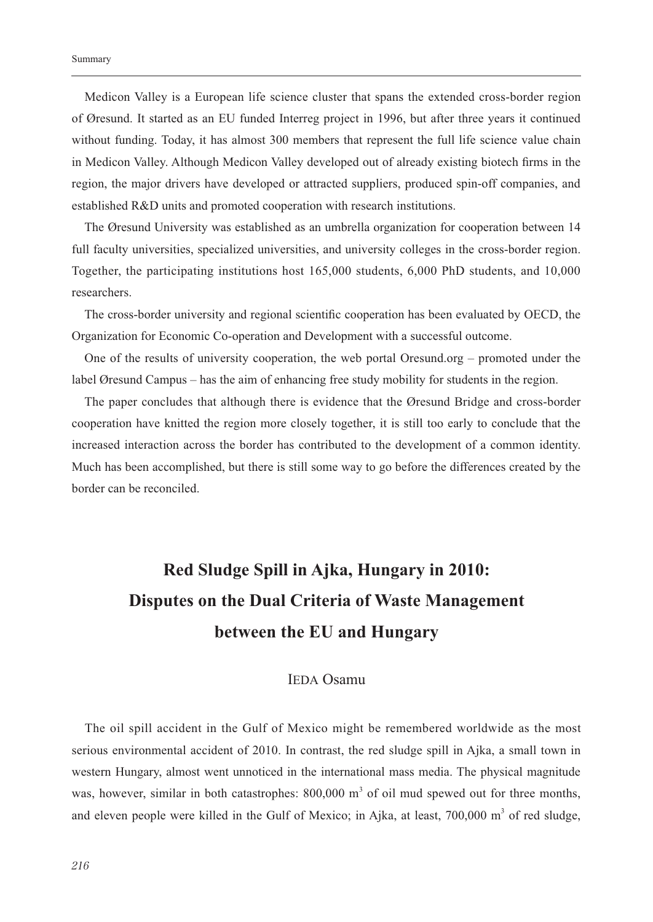Medicon Valley is a European life science cluster that spans the extended cross-border region of Øresund. It started as an EU funded Interreg project in 1996, but after three years it continued without funding. Today, it has almost 300 members that represent the full life science value chain in Medicon Valley. Although Medicon Valley developed out of already existing biotech firms in the region, the major drivers have developed or attracted suppliers, produced spin-off companies, and established R&D units and promoted cooperation with research institutions.

The Øresund University was established as an umbrella organization for cooperation between 14 full faculty universities, specialized universities, and university colleges in the cross-border region. Together, the participating institutions host 165,000 students, 6,000 PhD students, and 10,000 researchers.

The cross-border university and regional scientific cooperation has been evaluated by OECD, the Organization for Economic Co-operation and Development with a successful outcome.

One of the results of university cooperation, the web portal Oresund.org – promoted under the label Øresund Campus – has the aim of enhancing free study mobility for students in the region.

The paper concludes that although there is evidence that the Øresund Bridge and cross-border cooperation have knitted the region more closely together, it is still too early to conclude that the increased interaction across the border has contributed to the development of a common identity. Much has been accomplished, but there is still some way to go before the differences created by the border can be reconciled.

# Red Sludge Spill in Ajka, Hungary in 2010: Disputes on the Dual Criteria of Waste Management between the EU and Hungary

### **IEDA** Osamu

The oil spill accident in the Gulf of Mexico might be remembered worldwide as the most serious environmental accident of 2010. In contrast, the red sludge spill in Ajka, a small town in western Hungary, almost went unnoticed in the international mass media. The physical magnitude was, however, similar in both catastrophes: 800,000 m<sup>3</sup> of oil mud spewed out for three months, and eleven people were killed in the Gulf of Mexico; in Ajka, at least,  $700,000 \text{ m}^3$  of red sludge,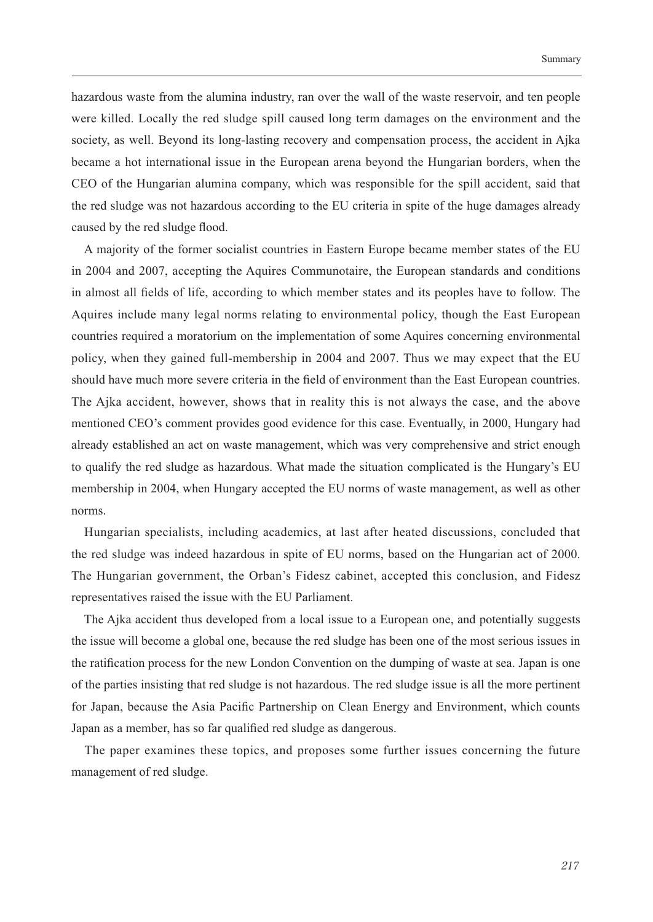hazardous waste from the alumina industry, ran over the wall of the waste reservoir, and ten people were killed. Locally the red sludge spill caused long term damages on the environment and the society, as well. Beyond its long-lasting recovery and compensation process, the accident in Ajka became a hot international issue in the European arena beyond the Hungarian borders, when the CEO of the Hungarian alumina company, which was responsible for the spill accident, said that the red sludge was not hazardous according to the EU criteria in spite of the huge damages already caused by the red sludge flood.

A majority of the former socialist countries in Eastern Europe became member states of the EU in 2004 and 2007, accepting the Aquires Communotaire, the European standards and conditions in almost all fields of life, according to which member states and its peoples have to follow. The Aquires include many legal norms relating to environmental policy, though the East European countries required a moratorium on the implementation of some Aquires concerning environmental policy, when they gained full-membership in 2004 and 2007. Thus we may expect that the EU should have much more severe criteria in the field of environment than the East European countries. The Ajka accident, however, shows that in reality this is not always the case, and the above mentioned CEO's comment provides good evidence for this case. Eventually, in 2000, Hungary had already established an act on waste management, which was very comprehensive and strict enough to qualify the red sludge as hazardous. What made the situation complicated is the Hungary's EU membership in 2004, when Hungary accepted the EU norms of waste management, as well as other norms.

Hungarian specialists, including academics, at last after heated discussions, concluded that the red sludge was indeed hazardous in spite of EU norms, based on the Hungarian act of 2000. The Hungarian government, the Orban's Fidesz cabinet, accepted this conclusion, and Fidesz representatives raised the issue with the EU Parliament.

The Ajka accident thus developed from a local issue to a European one, and potentially suggests the issue will become a global one, because the red sludge has been one of the most serious issues in the ratification process for the new London Convention on the dumping of waste at sea. Japan is one of the parties insisting that red sludge is not hazardous. The red sludge issue is all the more pertinent for Japan, because the Asia Pacific Partnership on Clean Energy and Environment, which counts Japan as a member, has so far qualified red sludge as dangerous.

The paper examines these topics, and proposes some further issues concerning the future management of red sludge.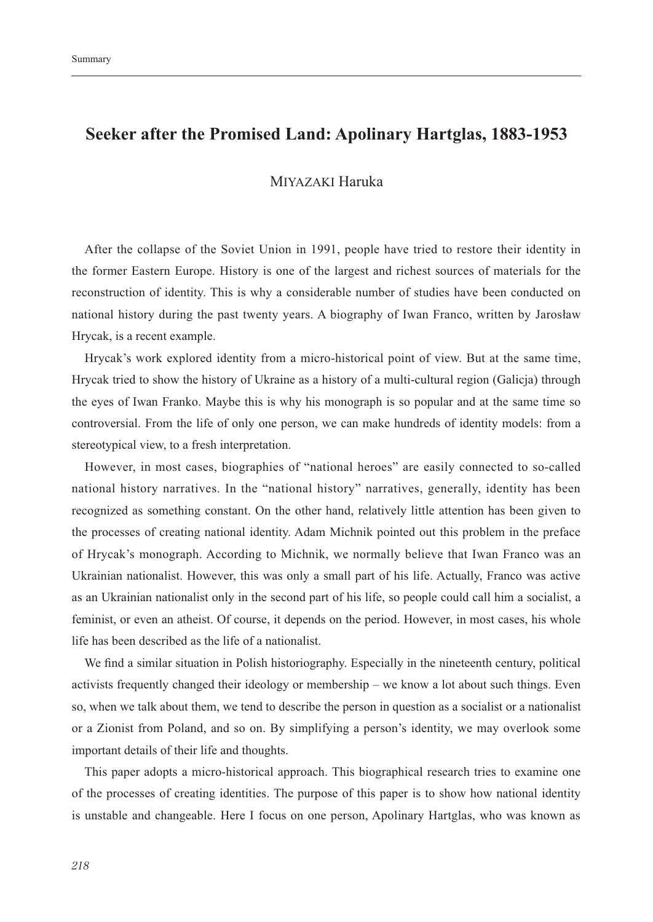## Seeker after the Promised Land: Apolinary Hartglas, 1883-1953

### MIYAZAKI Haruka

After the collapse of the Soviet Union in 1991, people have tried to restore their identity in the former Eastern Europe. History is one of the largest and richest sources of materials for the reconstruction of identity. This is why a considerable number of studies have been conducted on national history during the past twenty years. A biography of Iwan Franco, written by Jarosław Hrycak, is a recent example.

Hrycak's work explored identity from a micro-historical point of view. But at the same time, Hrycak tried to show the history of Ukraine as a history of a multi-cultural region (Galicja) through the eyes of Iwan Franko. Maybe this is why his monograph is so popular and at the same time so controversial. From the life of only one person, we can make hundreds of identity models: from a stereotypical view, to a fresh interpretation.

However, in most cases, biographies of "national heroes" are easily connected to so-called national history narratives. In the "national history" narratives, generally, identity has been recognized as something constant. On the other hand, relatively little attention has been given to the processes of creating national identity. Adam Michnik pointed out this problem in the preface of Hrycak's monograph. According to Michnik, we normally believe that Iwan Franco was an Ukrainian nationalist. However, this was only a small part of his life. Actually, Franco was active as an Ukrainian nationalist only in the second part of his life, so people could call him a socialist, a feminist, or even an atheist. Of course, it depends on the period. However, in most cases, his whole life has been described as the life of a nationalist.

We find a similar situation in Polish historiography. Especially in the nineteenth century, political activists frequently changed their ideology or membership – we know a lot about such things. Even so, when we talk about them, we tend to describe the person in question as a socialist or a nationalist or a Zionist from Poland, and so on. By simplifying a person's identity, we may overlook some important details of their life and thoughts.

This paper adopts a micro-historical approach. This biographical research tries to examine one of the processes of creating identities. The purpose of this paper is to show how national identity is unstable and changeable. Here I focus on one person, Apolinary Hartglas, who was known as